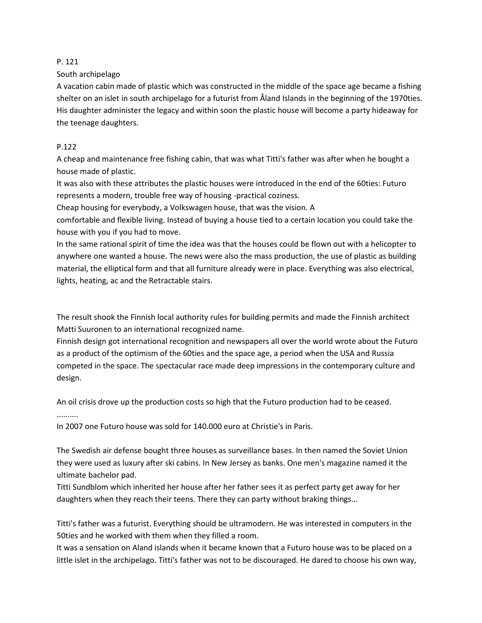## P. 121

South archipelago

A vacation cabin made of plastic which was constructed in the middle of the space age became a fishing shelter on an islet in south archipelago for a futurist from Åland Islands in the beginning of the 1970ties. His daughter administer the legacy and within soon the plastic house will become a party hideaway for the teenage daughters.

## P.122

A cheap and maintenance free fishing cabin, that was what Titti's father was after when he bought a house made of plastic.

It was also with these attributes the plastic houses were introduced in the end of the 60ties: Futuro represents a modern, trouble free way of housing -practical coziness.

Cheap housing for everybody, a Volkswagen house, that was the vision. A

comfortable and flexible living. Instead of buying a house tied to a certain location you could take the house with you if you had to move.

In the same rational spirit of time the idea was that the houses could be flown out with a helicopter to anywhere one wanted a house. The news were also the mass production, the use of plastic as building material, the elliptical form and that all furniture already were in place. Everything was also electrical, lights, heating, ac and the Retractable stairs.

The result shook the Finnish local authority rules for building permits and made the Finnish architect Matti Suuronen to an international recognized name.

Finnish design got international recognition and newspapers all over the world wrote about the Futuro as a product of the optimism of the 60ties and the space age, a period when the USA and Russia competed in the space. The spectacular race made deep impressions in the contemporary culture and design.

An oil crisis drove up the production costs so high that the Futuro production had to be ceased. ..........

In 2007 one Futuro house was sold for 140.000 euro at Christie's in Paris.

The Swedish air defense bought three houses as surveillance bases. In then named the Soviet Union they were used as luxury after ski cabins. In New Jersey as banks. One men's magazine named it the ultimate bachelor pad.

Titti Sundblom which inherited her house after her father sees it as perfect party get away for her daughters when they reach their teens. There they can party without braking things...

Titti's father was a futurist. Everything should be ultramodern. He was interested in computers in the 50ties and he worked with them when they filled a room.

It was a sensation on Aland islands when it became known that a Futuro house was to be placed on a little islet in the archipelago. Titti's father was not to be discouraged. He dared to choose his own way,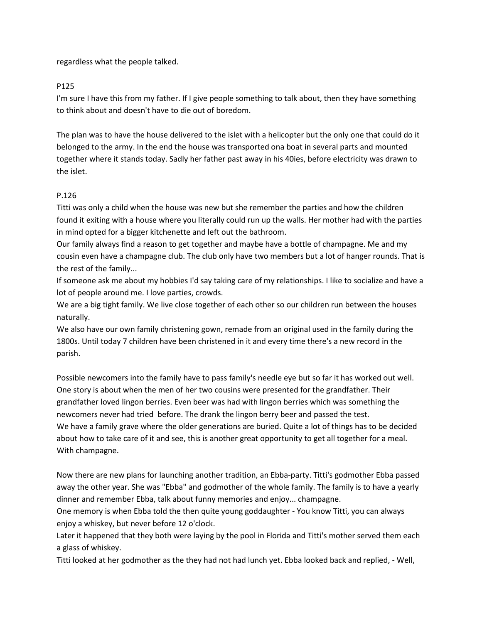regardless what the people talked.

## P125

I'm sure I have this from my father. If I give people something to talk about, then they have something to think about and doesn't have to die out of boredom.

The plan was to have the house delivered to the islet with a helicopter but the only one that could do it belonged to the army. In the end the house was transported ona boat in several parts and mounted together where it stands today. Sadly her father past away in his 40ies, before electricity was drawn to the islet.

## P.126

Titti was only a child when the house was new but she remember the parties and how the children found it exiting with a house where you literally could run up the walls. Her mother had with the parties in mind opted for a bigger kitchenette and left out the bathroom.

Our family always find a reason to get together and maybe have a bottle of champagne. Me and my cousin even have a champagne club. The club only have two members but a lot of hanger rounds. That is the rest of the family...

If someone ask me about my hobbies I'd say taking care of my relationships. I like to socialize and have a lot of people around me. I love parties, crowds.

We are a big tight family. We live close together of each other so our children run between the houses naturally.

We also have our own family christening gown, remade from an original used in the family during the 1800s. Until today 7 children have been christened in it and every time there's a new record in the parish.

Possible newcomers into the family have to pass family's needle eye but so far it has worked out well. One story is about when the men of her two cousins were presented for the grandfather. Their grandfather loved lingon berries. Even beer was had with lingon berries which was something the newcomers never had tried before. The drank the lingon berry beer and passed the test. We have a family grave where the older generations are buried. Quite a lot of things has to be decided about how to take care of it and see, this is another great opportunity to get all together for a meal. With champagne.

Now there are new plans for launching another tradition, an Ebba-party. Titti's godmother Ebba passed away the other year. She was "Ebba" and godmother of the whole family. The family is to have a yearly dinner and remember Ebba, talk about funny memories and enjoy... champagne.

One memory is when Ebba told the then quite young goddaughter - You know Titti, you can always enjoy a whiskey, but never before 12 o'clock.

Later it happened that they both were laying by the pool in Florida and Titti's mother served them each a glass of whiskey.

Titti looked at her godmother as the they had not had lunch yet. Ebba looked back and replied, - Well,